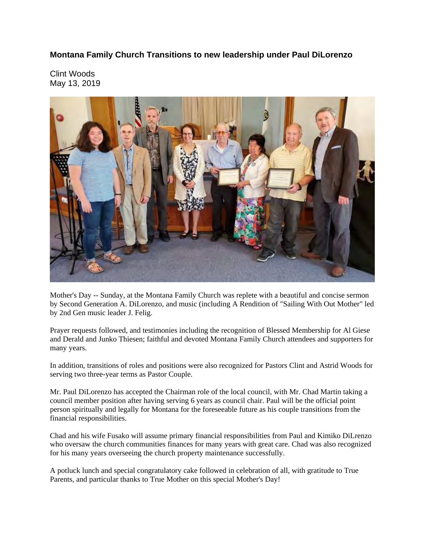**Montana Family Church Transitions to new leadership under Paul DiLorenzo** 

Clint Woods May 13, 2019



Mother's Day -- Sunday, at the Montana Family Church was replete with a beautiful and concise sermon by Second Generation A. DiLorenzo, and music (including A Rendition of "Sailing With Out Mother" led by 2nd Gen music leader J. Felig.

Prayer requests followed, and testimonies including the recognition of Blessed Membership for Al Giese and Derald and Junko Thiesen; faithful and devoted Montana Family Church attendees and supporters for many years.

In addition, transitions of roles and positions were also recognized for Pastors Clint and Astrid Woods for serving two three-year terms as Pastor Couple.

Mr. Paul DiLorenzo has accepted the Chairman role of the local council, with Mr. Chad Martin taking a council member position after having serving 6 years as council chair. Paul will be the official point person spiritually and legally for Montana for the foreseeable future as his couple transitions from the financial responsibilities.

Chad and his wife Fusako will assume primary financial responsibilities from Paul and Kimiko DiLrenzo who oversaw the church communities finances for many years with great care. Chad was also recognized for his many years overseeing the church property maintenance successfully.

A potluck lunch and special congratulatory cake followed in celebration of all, with gratitude to True Parents, and particular thanks to True Mother on this special Mother's Day!